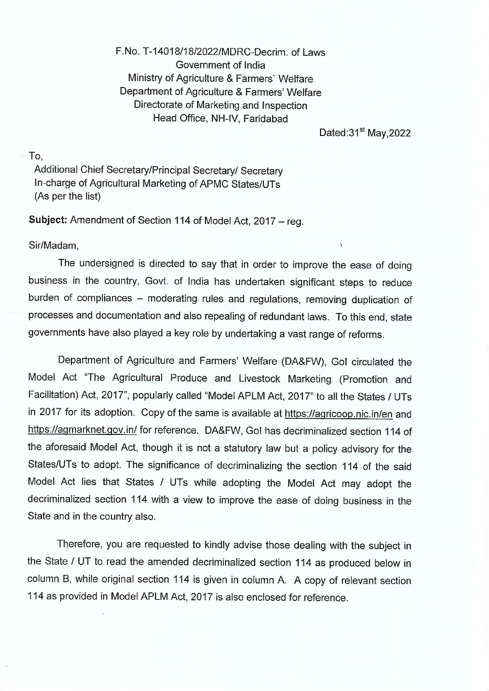F.No. T-14018/18/2022/MDRC-Decrim. of Laws Government of India Ministry of Agriculture & Farmers' Welfare Department of Agriculture & Farmers' Welfare Directorate of Marketing and Inspection Head Office, NH-IV, Faridabad

Dated: 31<sup>st</sup> May, 2022

To,

 $\mathcal{G}$ 

Additional Chief Secretary/Principal Secretary/ Secretary In-charge of Agricultural Marketing of APMC States/UTs (As per the list)

Subject: Amendment of Section 114 of Model Act, 2017 - reg.

Sir/Madam,

The undersigned is directed to say that in order to improve the ease of doing business in the country, Govt. of India has undertaken significant steps to reduce burden of compliances - moderating rules and regulations, removing duplication of processes and documentation and also repealing of redundant laws. To this end, state governments have also played a key role by undertaking a vast range of reforms.

Department of Agriculture and Farmers' Welfare (DA&FW), Gol circulated the Model Act "The Agricultural Produce and Livestock Marketing (Promotion and Facilitation) Act, 2017", popularly called "Model APLM Act, 2017" to all the States / UTs in 2017 for its adoption. Copy of the same is available at https://agricoop.nic.in/en and https://agmarknet.gov.in/ for reference. DA&FW, Gol has decriminalized section 114 of the aforesaid Model Act, though it is not a statutory law but a policy advisory for the States/UTs to adopt. The significance of decriminalizing the section 114 of the said Model Act lies that States / UTs while adopting the Model Act may adopt the decriminalized section 114 with a view to improve the ease of doing business in the State and in the country also.

Therefore, you are requested to kindly advise those dealing with the subject in the State / UT to read the amended decriminalized section 114 as produced below in column B, while original section 114 is given in column A. A copy of relevant section 114 as provided in Model APLM Act, 2017 is also enclosed for reference.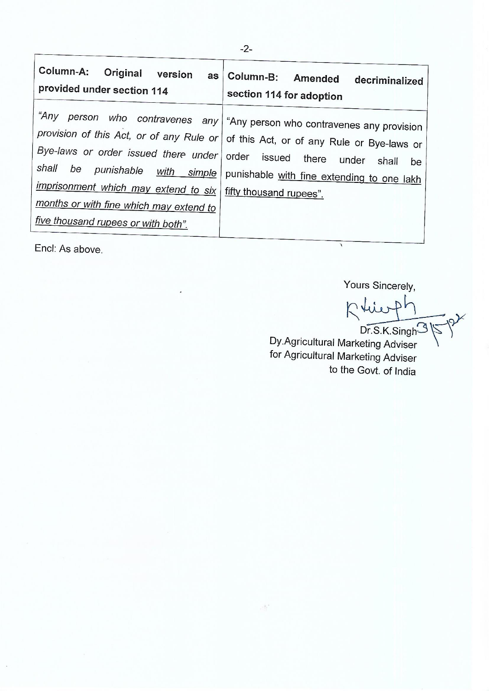| Column-A: Original version<br>as<br>provided under section 114                                                                                                                                                          | Column-B: Amended decriminalized<br>section 114 for adoption                                                                                                                                                                                                    |
|-------------------------------------------------------------------------------------------------------------------------------------------------------------------------------------------------------------------------|-----------------------------------------------------------------------------------------------------------------------------------------------------------------------------------------------------------------------------------------------------------------|
| Bye-laws or order issued there under order issued there<br>shall be<br>imprisonment which may extend to six   fifty thousand rupees".<br>months or with fine which may extend to<br>five thousand rupees or with both". | "Any person who contravenes any   "Any person who contravenes any provision<br>provision of this Act, or of any Rule or of this Act, or of any Rule or Bye-laws or<br>under<br>shall<br>be<br>punishable with simple punishable with fine extending to one lakh |

 $\cdot$   $\overset{\circ}{\rightarrow}$ 

Encl: As above.

Yours Sincerely,

Rtier  $P<sub>h</sub>$  $Dr.S.K.Singh<sup>3</sup>$ 

Dy Agricultural Marketing Adviser for Agricultural Marketing Adviser to the Govt. of India

7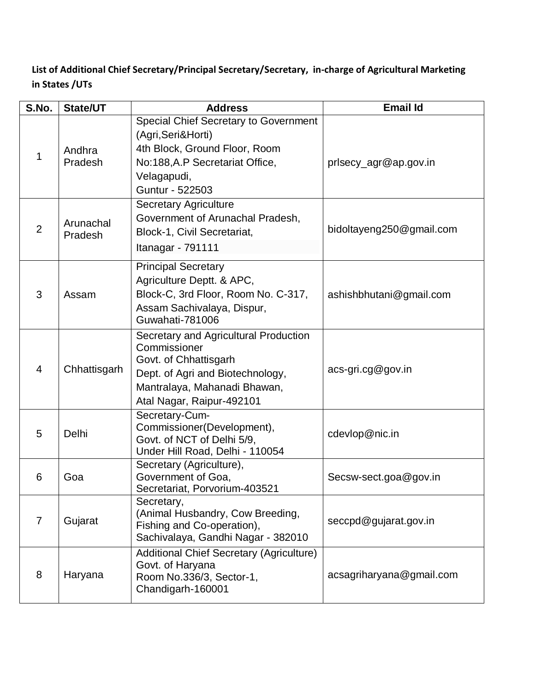**List of Additional Chief Secretary/Principal Secretary/Secretary, in-charge of Agricultural Marketing in States /UTs**

| S.No.          | <b>State/UT</b>      | <b>Address</b>                                                                                                                                                                  | <b>Email Id</b>          |
|----------------|----------------------|---------------------------------------------------------------------------------------------------------------------------------------------------------------------------------|--------------------------|
| 1              | Andhra<br>Pradesh    | <b>Special Chief Secretary to Government</b><br>(Agri, Seri&Horti)<br>4th Block, Ground Floor, Room<br>No:188, A.P Secretariat Office,<br>Velagapudi,<br>Guntur - 522503        | prisecy_agr@ap.gov.in    |
| $\overline{2}$ | Arunachal<br>Pradesh | <b>Secretary Agriculture</b><br>Government of Arunachal Pradesh,<br>Block-1, Civil Secretariat,<br>Itanagar - 791111                                                            | bidoltayeng250@gmail.com |
| 3              | Assam                | <b>Principal Secretary</b><br>Agriculture Deptt. & APC,<br>Block-C, 3rd Floor, Room No. C-317,<br>Assam Sachivalaya, Dispur,<br>Guwahati-781006                                 | ashishbhutani@gmail.com  |
| $\overline{4}$ | Chhattisgarh         | Secretary and Agricultural Production<br>Commissioner<br>Govt. of Chhattisgarh<br>Dept. of Agri and Biotechnology,<br>Mantralaya, Mahanadi Bhawan,<br>Atal Nagar, Raipur-492101 | acs-gri.cg@gov.in        |
| 5              | Delhi                | Secretary-Cum-<br>Commissioner(Development),<br>Govt. of NCT of Delhi 5/9,<br>Under Hill Road, Delhi - 110054                                                                   | cdevlop@nic.in           |
| 6              | Goa                  | Secretary (Agriculture),<br>Government of Goa,<br>Secretariat, Porvorium-403521                                                                                                 | Secsw-sect.goa@gov.in    |
| $\overline{7}$ | Gujarat              | Secretary,<br>(Animal Husbandry, Cow Breeding,<br>Fishing and Co-operation),<br>Sachivalaya, Gandhi Nagar - 382010                                                              | seccpd@gujarat.gov.in    |
| 8              | Haryana              | <b>Additional Chief Secretary (Agriculture)</b><br>Govt. of Haryana<br>Room No.336/3, Sector-1,<br>Chandigarh-160001                                                            | acsagriharyana@gmail.com |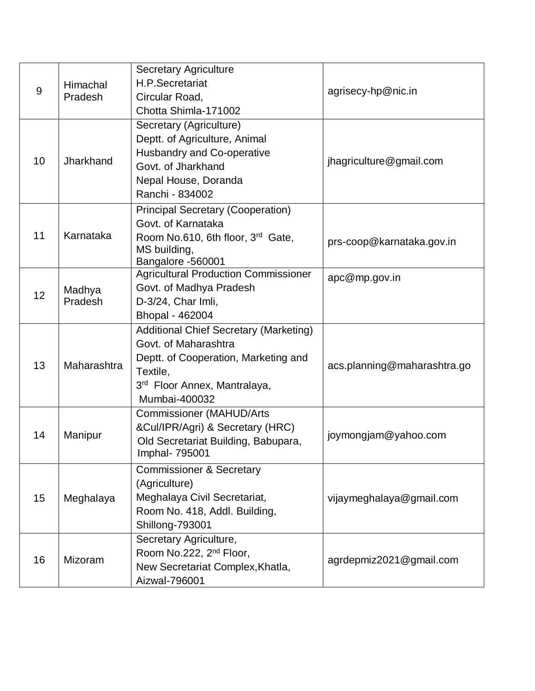| $9$ | Himachal<br>Pradesh | <b>Secretary Agriculture</b><br>H.P.Secretariat<br>Circular Road,<br>Chotta Shimla-171002                                                                                              | agrisecy-hp@nic.in          |
|-----|---------------------|----------------------------------------------------------------------------------------------------------------------------------------------------------------------------------------|-----------------------------|
| 10  | Jharkhand           | Secretary (Agriculture)<br>Deptt. of Agriculture, Animal<br><b>Husbandry and Co-operative</b><br>Govt. of Jharkhand<br>Nepal House, Doranda<br>Ranchi - 834002                         | jhagriculture@gmail.com     |
| 11  | Karnataka           | <b>Principal Secretary (Cooperation)</b><br>Govt. of Karnataka<br>Room No.610, 6th floor, 3rd Gate,<br>MS building,<br>Bangalore -560001                                               | prs-coop@karnataka.gov.in   |
| 12  | Madhya<br>Pradesh   | Agricultural Production Commissioner<br>Govt. of Madhya Pradesh<br>D-3/24, Char Imli,<br>Bhopal - 462004                                                                               | apc@mp.gov.in               |
| 13  | Maharashtra         | <b>Additional Chief Secretary (Marketing)</b><br>Govt. of Maharashtra<br>Deptt. of Cooperation, Marketing and<br>Textile,<br>3 <sup>rd</sup> Floor Annex, Mantralaya,<br>Mumbai-400032 | acs.planning@maharashtra.go |
| 14  | Manipur             | <b>Commissioner (MAHUD/Arts</b><br>&Cul/IPR/Agri) & Secretary (HRC)<br>Old Secretariat Building, Babupara,<br>Imphal- 795001                                                           | joymongjam@yahoo.com        |
| 15  | Meghalaya           | <b>Commissioner &amp; Secretary</b><br>(Agriculture)<br>Meghalaya Civil Secretariat,<br>Room No. 418, Addl. Building,<br>Shillong-793001                                               | vijaymeghalaya@gmail.com    |
| 16  | Mizoram             | Secretary Agriculture,<br>Room No.222, 2 <sup>nd</sup> Floor,<br>New Secretariat Complex, Khatla,<br>Aizwal-796001                                                                     | agrdepmiz2021@gmail.com     |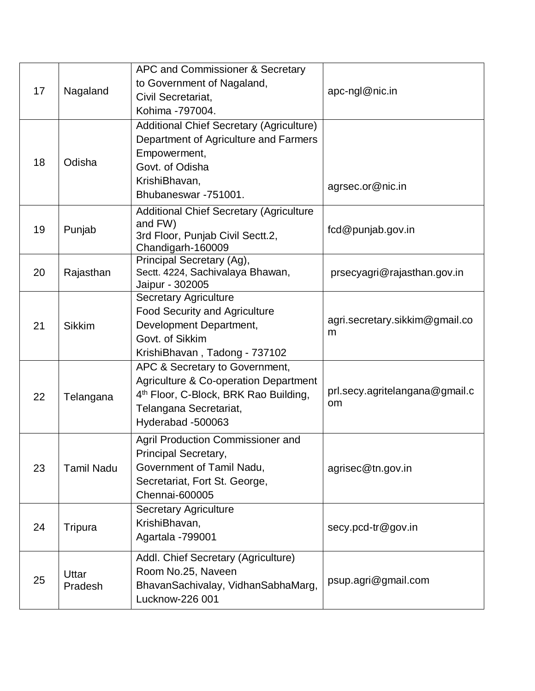| 17 | Nagaland          | APC and Commissioner & Secretary<br>to Government of Nagaland,<br>Civil Secretariat, | apc-ngl@nic.in                 |
|----|-------------------|--------------------------------------------------------------------------------------|--------------------------------|
|    |                   | Kohima -797004.                                                                      |                                |
|    |                   | <b>Additional Chief Secretary (Agriculture)</b>                                      |                                |
|    |                   | Department of Agriculture and Farmers                                                |                                |
| 18 | Odisha            | Empowerment,                                                                         |                                |
|    |                   | Govt. of Odisha                                                                      |                                |
|    |                   | KrishiBhavan,                                                                        | agrsec.or@nic.in               |
|    |                   | Bhubaneswar -751001.                                                                 |                                |
|    |                   | <b>Additional Chief Secretary (Agriculture</b>                                       |                                |
| 19 | Punjab            | and FW)<br>3rd Floor, Punjab Civil Sectt.2,                                          | fcd@punjab.gov.in              |
|    |                   | Chandigarh-160009                                                                    |                                |
|    |                   | Principal Secretary (Ag),                                                            |                                |
| 20 | Rajasthan         | Sectt. 4224, Sachivalaya Bhawan,                                                     | prsecyagri@rajasthan.gov.in    |
|    |                   | Jaipur - 302005                                                                      |                                |
|    |                   | <b>Secretary Agriculture</b>                                                         |                                |
|    |                   | <b>Food Security and Agriculture</b>                                                 | agri.secretary.sikkim@gmail.co |
| 21 | <b>Sikkim</b>     | Development Department,<br>Govt. of Sikkim                                           | m                              |
|    |                   | KrishiBhavan, Tadong - 737102                                                        |                                |
|    |                   | APC & Secretary to Government,                                                       |                                |
|    |                   | <b>Agriculture &amp; Co-operation Department</b>                                     |                                |
| 22 |                   | 4 <sup>th</sup> Floor, C-Block, BRK Rao Building,                                    | prl.secy.agritelangana@gmail.c |
|    | Telangana         | Telangana Secretariat,                                                               | <sub>om</sub>                  |
|    |                   | Hyderabad -500063                                                                    |                                |
|    |                   | Agril Production Commissioner and                                                    |                                |
|    |                   | Principal Secretary,                                                                 |                                |
| 23 | <b>Tamil Nadu</b> | Government of Tamil Nadu,                                                            | agrisec@tn.gov.in              |
|    |                   | Secretariat, Fort St. George,                                                        |                                |
|    |                   | Chennai-600005                                                                       |                                |
|    |                   | <b>Secretary Agriculture</b>                                                         |                                |
| 24 | Tripura           | KrishiBhavan,                                                                        | secy.pcd-tr@gov.in             |
|    |                   | Agartala - 799001                                                                    |                                |
|    |                   | Addl. Chief Secretary (Agriculture)                                                  |                                |
|    |                   | Room No.25, Naveen                                                                   |                                |
| 25 | Uttar<br>Pradesh  | BhavanSachivalay, VidhanSabhaMarg,                                                   | psup.agri@gmail.com            |
|    |                   | Lucknow-226 001                                                                      |                                |
|    |                   |                                                                                      |                                |